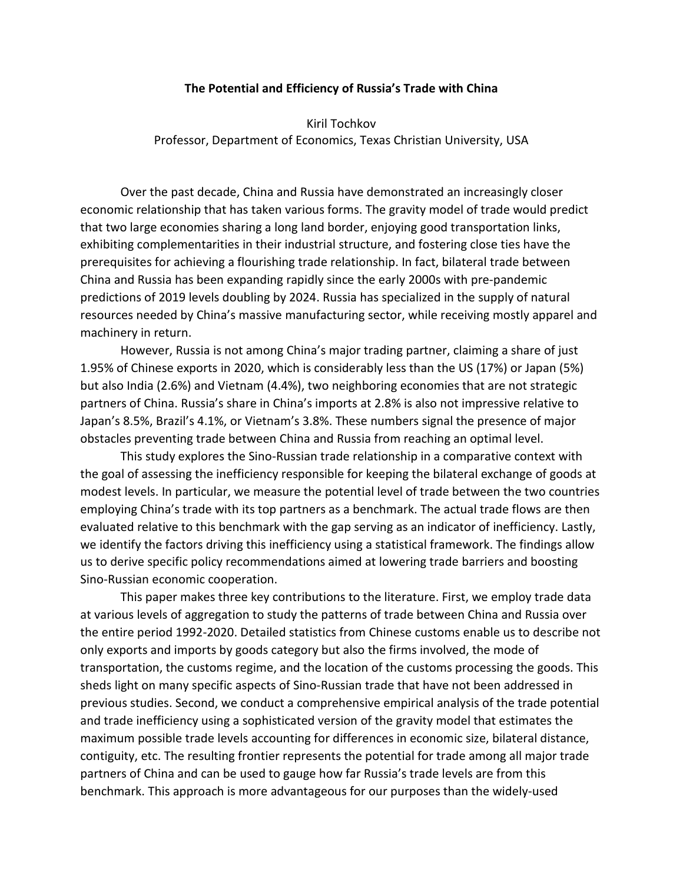## **The Potential and Efficiency of Russia's Trade with China**

Kiril Tochkov Professor, Department of Economics, Texas Christian University, USA

Over the past decade, China and Russia have demonstrated an increasingly closer economic relationship that has taken various forms. The gravity model of trade would predict that two large economies sharing a long land border, enjoying good transportation links, exhibiting complementarities in their industrial structure, and fostering close ties have the prerequisites for achieving a flourishing trade relationship. In fact, bilateral trade between China and Russia has been expanding rapidly since the early 2000s with pre-pandemic predictions of 2019 levels doubling by 2024. Russia has specialized in the supply of natural resources needed by China's massive manufacturing sector, while receiving mostly apparel and machinery in return.

However, Russia is not among China's major trading partner, claiming a share of just 1.95% of Chinese exports in 2020, which is considerably less than the US (17%) or Japan (5%) but also India (2.6%) and Vietnam (4.4%), two neighboring economies that are not strategic partners of China. Russia's share in China's imports at 2.8% is also not impressive relative to Japan's 8.5%, Brazil's 4.1%, or Vietnam's 3.8%. These numbers signal the presence of major obstacles preventing trade between China and Russia from reaching an optimal level.

This study explores the Sino-Russian trade relationship in a comparative context with the goal of assessing the inefficiency responsible for keeping the bilateral exchange of goods at modest levels. In particular, we measure the potential level of trade between the two countries employing China's trade with its top partners as a benchmark. The actual trade flows are then evaluated relative to this benchmark with the gap serving as an indicator of inefficiency. Lastly, we identify the factors driving this inefficiency using a statistical framework. The findings allow us to derive specific policy recommendations aimed at lowering trade barriers and boosting Sino-Russian economic cooperation.

This paper makes three key contributions to the literature. First, we employ trade data at various levels of aggregation to study the patterns of trade between China and Russia over the entire period 1992-2020. Detailed statistics from Chinese customs enable us to describe not only exports and imports by goods category but also the firms involved, the mode of transportation, the customs regime, and the location of the customs processing the goods. This sheds light on many specific aspects of Sino-Russian trade that have not been addressed in previous studies. Second, we conduct a comprehensive empirical analysis of the trade potential and trade inefficiency using a sophisticated version of the gravity model that estimates the maximum possible trade levels accounting for differences in economic size, bilateral distance, contiguity, etc. The resulting frontier represents the potential for trade among all major trade partners of China and can be used to gauge how far Russia's trade levels are from this benchmark. This approach is more advantageous for our purposes than the widely-used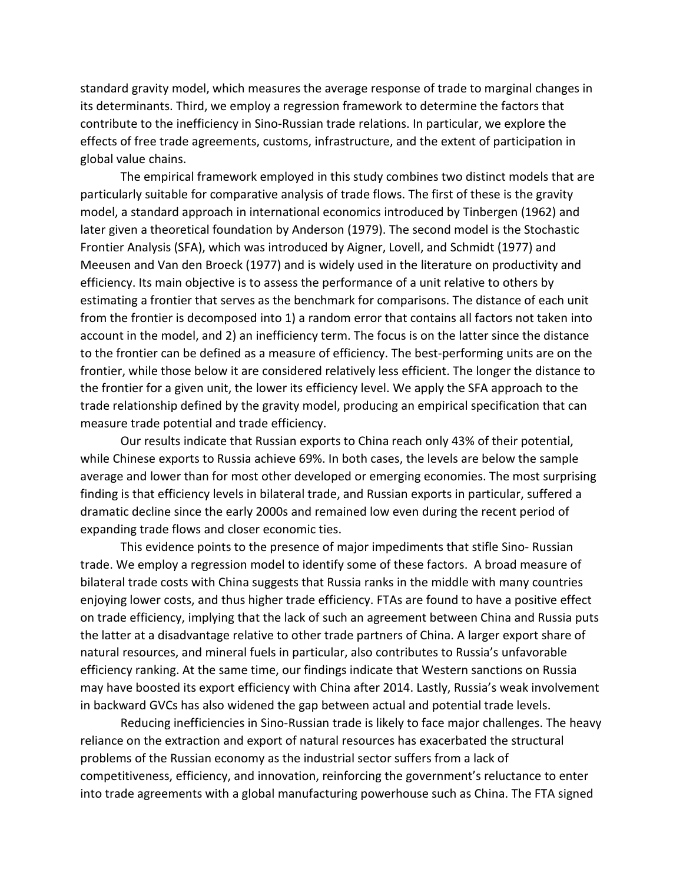standard gravity model, which measures the average response of trade to marginal changes in its determinants. Third, we employ a regression framework to determine the factors that contribute to the inefficiency in Sino-Russian trade relations. In particular, we explore the effects of free trade agreements, customs, infrastructure, and the extent of participation in global value chains.

The empirical framework employed in this study combines two distinct models that are particularly suitable for comparative analysis of trade flows. The first of these is the gravity model, a standard approach in international economics introduced by Tinbergen (1962) and later given a theoretical foundation by Anderson (1979). The second model is the Stochastic Frontier Analysis (SFA), which was introduced by Aigner, Lovell, and Schmidt (1977) and Meeusen and Van den Broeck (1977) and is widely used in the literature on productivity and efficiency. Its main objective is to assess the performance of a unit relative to others by estimating a frontier that serves as the benchmark for comparisons. The distance of each unit from the frontier is decomposed into 1) a random error that contains all factors not taken into account in the model, and 2) an inefficiency term. The focus is on the latter since the distance to the frontier can be defined as a measure of efficiency. The best-performing units are on the frontier, while those below it are considered relatively less efficient. The longer the distance to the frontier for a given unit, the lower its efficiency level. We apply the SFA approach to the trade relationship defined by the gravity model, producing an empirical specification that can measure trade potential and trade efficiency.

Our results indicate that Russian exports to China reach only 43% of their potential, while Chinese exports to Russia achieve 69%. In both cases, the levels are below the sample average and lower than for most other developed or emerging economies. The most surprising finding is that efficiency levels in bilateral trade, and Russian exports in particular, suffered a dramatic decline since the early 2000s and remained low even during the recent period of expanding trade flows and closer economic ties.

This evidence points to the presence of major impediments that stifle Sino- Russian trade. We employ a regression model to identify some of these factors. A broad measure of bilateral trade costs with China suggests that Russia ranks in the middle with many countries enjoying lower costs, and thus higher trade efficiency. FTAs are found to have a positive effect on trade efficiency, implying that the lack of such an agreement between China and Russia puts the latter at a disadvantage relative to other trade partners of China. A larger export share of natural resources, and mineral fuels in particular, also contributes to Russia's unfavorable efficiency ranking. At the same time, our findings indicate that Western sanctions on Russia may have boosted its export efficiency with China after 2014. Lastly, Russia's weak involvement in backward GVCs has also widened the gap between actual and potential trade levels.

Reducing inefficiencies in Sino-Russian trade is likely to face major challenges. The heavy reliance on the extraction and export of natural resources has exacerbated the structural problems of the Russian economy as the industrial sector suffers from a lack of competitiveness, efficiency, and innovation, reinforcing the government's reluctance to enter into trade agreements with a global manufacturing powerhouse such as China. The FTA signed